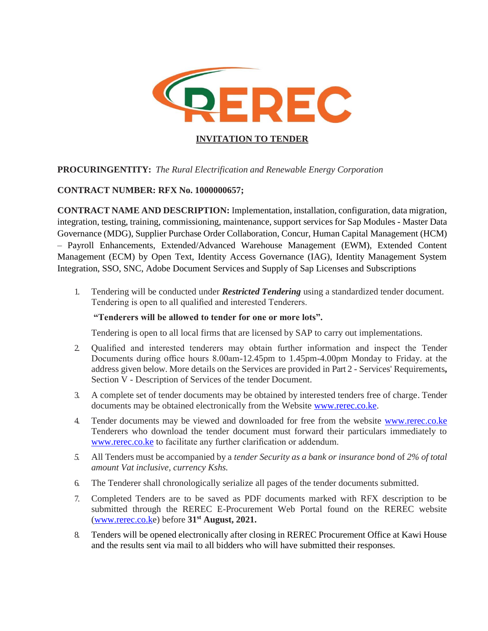

## **PROCURINGENTITY:** *The Rural Electrification and Renewable Energy Corporation*

## **CONTRACT NUMBER: RFX No. 1000000657;**

**CONTRACT NAME AND DESCRIPTION:** Implementation, installation, configuration, data migration, integration, testing, training, commissioning, maintenance, support services for Sap Modules - Master Data Governance (MDG), Supplier Purchase Order Collaboration, Concur, Human Capital Management (HCM) – Payroll Enhancements, Extended/Advanced Warehouse Management (EWM), Extended Content Management (ECM) by Open Text, Identity Access Governance (IAG), Identity Management System Integration, SSO, SNC, Adobe Document Services and Supply of Sap Licenses and Subscriptions

1. Tendering will be conducted under *Restricted Tendering* using a standardized tender document. Tendering is open to all qualified and interested Tenderers.

#### **"Tenderers will be allowed to tender for one or more lots".**

Tendering is open to all local firms that are licensed by SAP to carry out implementations.

- 2. Qualified and interested tenderers may obtain further information and inspect the Tender Documents during office hours 8.00am-12.45pm to 1.45pm-4.00pm Monday to Friday. at the address given below. More details on the Services are provided in Part 2 - Services' Requirements**,**  Section V - Description of Services of the tender Document.
- 3. A complete set of tender documents may be obtained by interested tenders free of charge. Tender documents may be obtained electronically from the Website www.rerec.co.ke.
- 4. Tender documents may be viewed and downloaded for free from the website www.rerec.co.ke Tenderers who download the tender document must forward their particulars immediately to [www.rerec.co.ke](http://www.rerec.co.ke/) to facilitate any further clarification or addendum.
- *5.* All Tenders must be accompanied by a *tender Security as a bank or insurance bond* of *2% of total amount Vat inclusive, currency Kshs.*
- 6. The Tenderer shall chronologically serialize all pages of the tender documents submitted.
- 7. Completed Tenders are to be saved as PDF documents marked with RFX description to be submitted through the REREC E-Procurement Web Portal found on the REREC website [\(www.rerec.co.ke](http://www.rerec.co.k/)) before **31st August, 2021.**
- 8. Tenders will be opened electronically after closing in REREC Procurement Office at Kawi House and the results sent via mail to all bidders who will have submitted their responses.